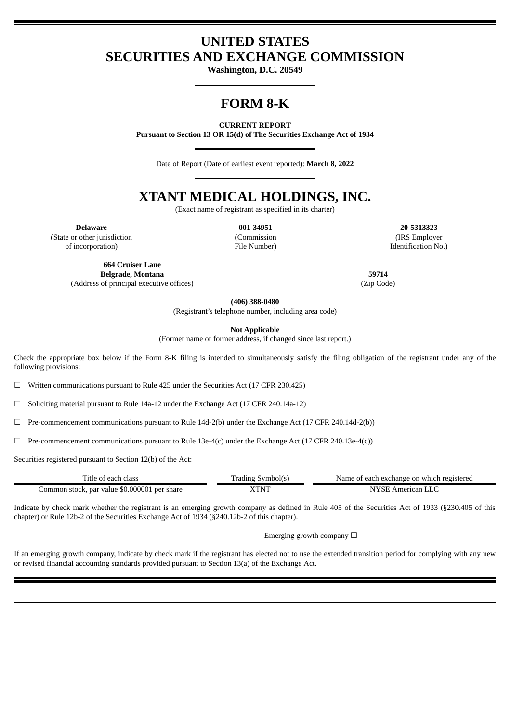## **UNITED STATES SECURITIES AND EXCHANGE COMMISSION**

**Washington, D.C. 20549**

# **FORM 8-K**

**CURRENT REPORT**

**Pursuant to Section 13 OR 15(d) of The Securities Exchange Act of 1934**

Date of Report (Date of earliest event reported): **March 8, 2022**

# **XTANT MEDICAL HOLDINGS, INC.**

(Exact name of registrant as specified in its charter)

(State or other jurisdiction of incorporation)

> **664 Cruiser Lane Belgrade, Montana 59714**

(Commission File Number)

**Delaware 001-34951 20-5313323** (IRS Employer Identification No.)

(Address of principal executive offices) (Zip Code)

**(406) 388-0480**

(Registrant's telephone number, including area code)

**Not Applicable**

(Former name or former address, if changed since last report.)

Check the appropriate box below if the Form 8-K filing is intended to simultaneously satisfy the filing obligation of the registrant under any of the following provisions:

 $\Box$  Written communications pursuant to Rule 425 under the Securities Act (17 CFR 230.425)

 $\Box$  Soliciting material pursuant to Rule 14a-12 under the Exchange Act (17 CFR 240.14a-12)

 $\Box$  Pre-commencement communications pursuant to Rule 14d-2(b) under the Exchange Act (17 CFR 240.14d-2(b))

 $\Box$  Pre-commencement communications pursuant to Rule 13e-4(c) under the Exchange Act (17 CFR 240.13e-4(c))

Securities registered pursuant to Section 12(b) of the Act:

| r each class<br>l'itle of                    | Symbol(s<br>radıng | Name of each exchange on which registered |  |  |  |  |  |
|----------------------------------------------|--------------------|-------------------------------------------|--|--|--|--|--|
| Common stock, par value \$0.000001 per share |                    | American                                  |  |  |  |  |  |

Indicate by check mark whether the registrant is an emerging growth company as defined in Rule 405 of the Securities Act of 1933 (§230.405 of this chapter) or Rule 12b-2 of the Securities Exchange Act of 1934 (§240.12b-2 of this chapter).

Emerging growth company  $\Box$ 

If an emerging growth company, indicate by check mark if the registrant has elected not to use the extended transition period for complying with any new or revised financial accounting standards provided pursuant to Section 13(a) of the Exchange Act.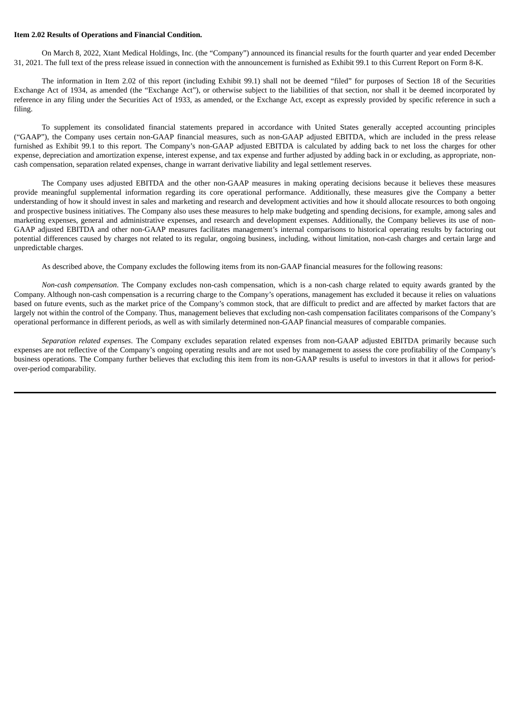#### **Item 2.02 Results of Operations and Financial Condition.**

On March 8, 2022, Xtant Medical Holdings, Inc. (the "Company") announced its financial results for the fourth quarter and year ended December 31, 2021. The full text of the press release issued in connection with the announcement is furnished as Exhibit 99.1 to this Current Report on Form 8-K.

The information in Item 2.02 of this report (including Exhibit 99.1) shall not be deemed "filed" for purposes of Section 18 of the Securities Exchange Act of 1934, as amended (the "Exchange Act"), or otherwise subject to the liabilities of that section, nor shall it be deemed incorporated by reference in any filing under the Securities Act of 1933, as amended, or the Exchange Act, except as expressly provided by specific reference in such a filing.

To supplement its consolidated financial statements prepared in accordance with United States generally accepted accounting principles ("GAAP"), the Company uses certain non-GAAP financial measures, such as non-GAAP adjusted EBITDA, which are included in the press release furnished as Exhibit 99.1 to this report. The Company's non-GAAP adjusted EBITDA is calculated by adding back to net loss the charges for other expense, depreciation and amortization expense, interest expense, and tax expense and further adjusted by adding back in or excluding, as appropriate, noncash compensation, separation related expenses, change in warrant derivative liability and legal settlement reserves.

The Company uses adjusted EBITDA and the other non-GAAP measures in making operating decisions because it believes these measures provide meaningful supplemental information regarding its core operational performance. Additionally, these measures give the Company a better understanding of how it should invest in sales and marketing and research and development activities and how it should allocate resources to both ongoing and prospective business initiatives. The Company also uses these measures to help make budgeting and spending decisions, for example, among sales and marketing expenses, general and administrative expenses, and research and development expenses. Additionally, the Company believes its use of non-GAAP adjusted EBITDA and other non-GAAP measures facilitates management's internal comparisons to historical operating results by factoring out potential differences caused by charges not related to its regular, ongoing business, including, without limitation, non-cash charges and certain large and unpredictable charges.

As described above, the Company excludes the following items from its non-GAAP financial measures for the following reasons:

*Non-cash compensation*. The Company excludes non-cash compensation, which is a non-cash charge related to equity awards granted by the Company. Although non-cash compensation is a recurring charge to the Company's operations, management has excluded it because it relies on valuations based on future events, such as the market price of the Company's common stock, that are difficult to predict and are affected by market factors that are largely not within the control of the Company. Thus, management believes that excluding non-cash compensation facilitates comparisons of the Company's operational performance in different periods, as well as with similarly determined non-GAAP financial measures of comparable companies.

*Separation related expenses*. The Company excludes separation related expenses from non-GAAP adjusted EBITDA primarily because such expenses are not reflective of the Company's ongoing operating results and are not used by management to assess the core profitability of the Company's business operations. The Company further believes that excluding this item from its non-GAAP results is useful to investors in that it allows for periodover-period comparability.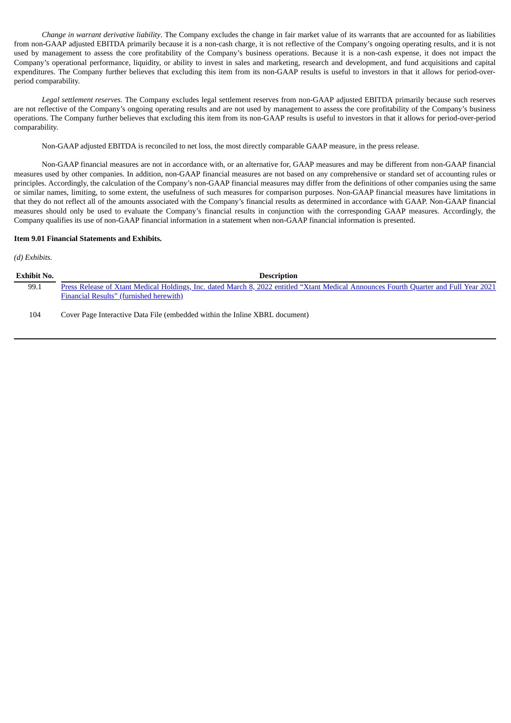*Change in warrant derivative liability*. The Company excludes the change in fair market value of its warrants that are accounted for as liabilities from non-GAAP adjusted EBITDA primarily because it is a non-cash charge, it is not reflective of the Company's ongoing operating results, and it is not used by management to assess the core profitability of the Company's business operations. Because it is a non-cash expense, it does not impact the Company's operational performance, liquidity, or ability to invest in sales and marketing, research and development, and fund acquisitions and capital expenditures. The Company further believes that excluding this item from its non-GAAP results is useful to investors in that it allows for period-overperiod comparability.

*Legal settlement reserves*. The Company excludes legal settlement reserves from non-GAAP adjusted EBITDA primarily because such reserves are not reflective of the Company's ongoing operating results and are not used by management to assess the core profitability of the Company's business operations. The Company further believes that excluding this item from its non-GAAP results is useful to investors in that it allows for period-over-period comparability.

Non-GAAP adjusted EBITDA is reconciled to net loss, the most directly comparable GAAP measure, in the press release.

Non-GAAP financial measures are not in accordance with, or an alternative for, GAAP measures and may be different from non-GAAP financial measures used by other companies. In addition, non-GAAP financial measures are not based on any comprehensive or standard set of accounting rules or principles. Accordingly, the calculation of the Company's non-GAAP financial measures may differ from the definitions of other companies using the same or similar names, limiting, to some extent, the usefulness of such measures for comparison purposes. Non-GAAP financial measures have limitations in that they do not reflect all of the amounts associated with the Company's financial results as determined in accordance with GAAP. Non-GAAP financial measures should only be used to evaluate the Company's financial results in conjunction with the corresponding GAAP measures. Accordingly, the Company qualifies its use of non-GAAP financial information in a statement when non-GAAP financial information is presented.

### **Item 9.01 Financial Statements and Exhibits.**

*(d) Exhibits.*

| Exhibit No. | <b>Description</b>                                                                                                                    |
|-------------|---------------------------------------------------------------------------------------------------------------------------------------|
| 99.1        | Press Release of Xtant Medical Holdings, Inc. dated March 8, 2022 entitled "Xtant Medical Announces Fourth Quarter and Full Year 2021 |
|             | Financial Results" (furnished herewith)                                                                                               |
|             |                                                                                                                                       |

104 Cover Page Interactive Data File (embedded within the Inline XBRL document)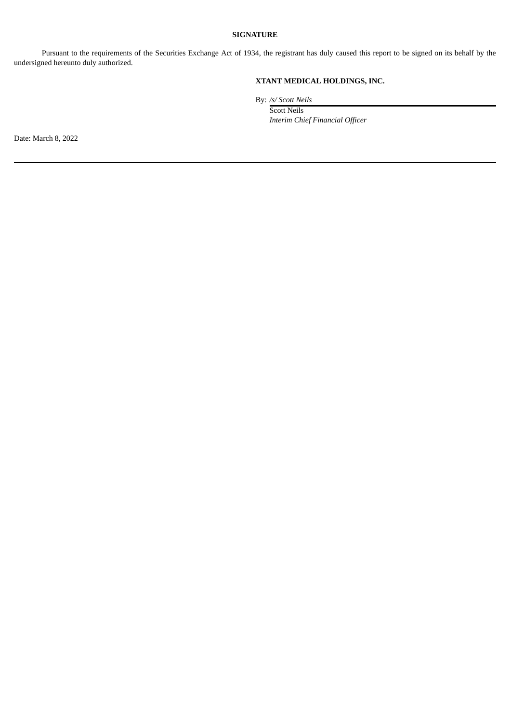## **SIGNATURE**

Pursuant to the requirements of the Securities Exchange Act of 1934, the registrant has duly caused this report to be signed on its behalf by the undersigned hereunto duly authorized.

## **XTANT MEDICAL HOLDINGS, INC.**

By: */s/ Scott Neils*

Scott Neils *Interim Chief Financial Officer*

Date: March 8, 2022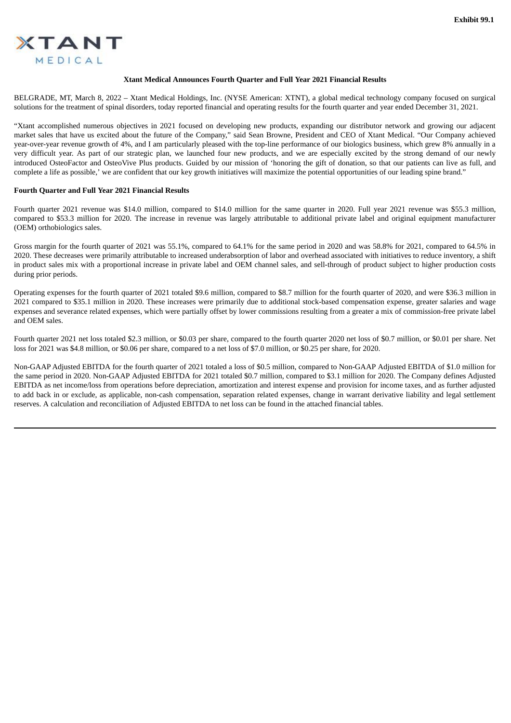<span id="page-4-0"></span>

#### **Xtant Medical Announces Fourth Quarter and Full Year 2021 Financial Results**

BELGRADE, MT, March 8, 2022 – Xtant Medical Holdings, Inc. (NYSE American: XTNT), a global medical technology company focused on surgical solutions for the treatment of spinal disorders, today reported financial and operating results for the fourth quarter and year ended December 31, 2021.

"Xtant accomplished numerous objectives in 2021 focused on developing new products, expanding our distributor network and growing our adjacent market sales that have us excited about the future of the Company," said Sean Browne, President and CEO of Xtant Medical. "Our Company achieved year-over-year revenue growth of 4%, and I am particularly pleased with the top-line performance of our biologics business, which grew 8% annually in a very difficult year. As part of our strategic plan, we launched four new products, and we are especially excited by the strong demand of our newly introduced OsteoFactor and OsteoVive Plus products. Guided by our mission of 'honoring the gift of donation, so that our patients can live as full, and complete a life as possible,' we are confident that our key growth initiatives will maximize the potential opportunities of our leading spine brand."

#### **Fourth Quarter and Full Year 2021 Financial Results**

Fourth quarter 2021 revenue was \$14.0 million, compared to \$14.0 million for the same quarter in 2020. Full year 2021 revenue was \$55.3 million, compared to \$53.3 million for 2020. The increase in revenue was largely attributable to additional private label and original equipment manufacturer (OEM) orthobiologics sales.

Gross margin for the fourth quarter of 2021 was 55.1%, compared to 64.1% for the same period in 2020 and was 58.8% for 2021, compared to 64.5% in 2020. These decreases were primarily attributable to increased underabsorption of labor and overhead associated with initiatives to reduce inventory, a shift in product sales mix with a proportional increase in private label and OEM channel sales, and sell-through of product subject to higher production costs during prior periods.

Operating expenses for the fourth quarter of 2021 totaled \$9.6 million, compared to \$8.7 million for the fourth quarter of 2020, and were \$36.3 million in 2021 compared to \$35.1 million in 2020. These increases were primarily due to additional stock-based compensation expense, greater salaries and wage expenses and severance related expenses, which were partially offset by lower commissions resulting from a greater a mix of commission-free private label and OEM sales.

Fourth quarter 2021 net loss totaled \$2.3 million, or \$0.03 per share, compared to the fourth quarter 2020 net loss of \$0.7 million, or \$0.01 per share. Net loss for 2021 was \$4.8 million, or \$0.06 per share, compared to a net loss of \$7.0 million, or \$0.25 per share, for 2020.

Non-GAAP Adjusted EBITDA for the fourth quarter of 2021 totaled a loss of \$0.5 million, compared to Non-GAAP Adjusted EBITDA of \$1.0 million for the same period in 2020. Non-GAAP Adjusted EBITDA for 2021 totaled \$0.7 million, compared to \$3.1 million for 2020. The Company defines Adjusted EBITDA as net income/loss from operations before depreciation, amortization and interest expense and provision for income taxes, and as further adjusted to add back in or exclude, as applicable, non-cash compensation, separation related expenses, change in warrant derivative liability and legal settlement reserves. A calculation and reconciliation of Adjusted EBITDA to net loss can be found in the attached financial tables.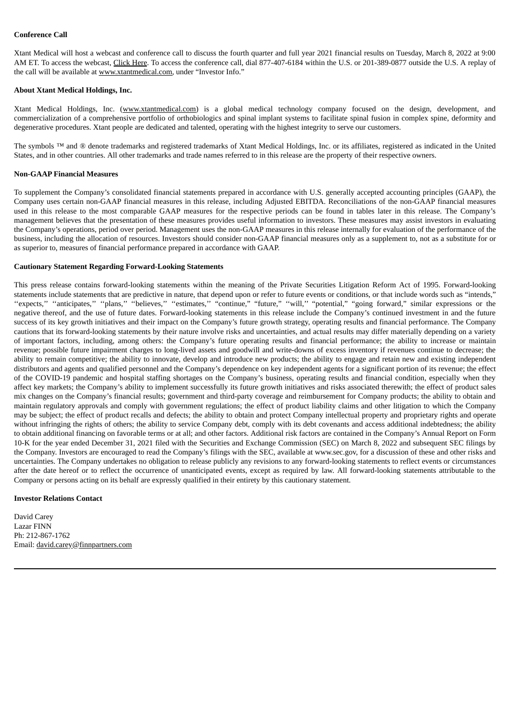#### **Conference Call**

Xtant Medical will host a webcast and conference call to discuss the fourth quarter and full year 2021 financial results on Tuesday, March 8, 2022 at 9:00 AM ET. To access the webcast, Click Here. To access the conference call, dial 877-407-6184 within the U.S. or 201-389-0877 outside the U.S. A replay of the call will be available at www.xtantmedical.com, under "Investor Info."

#### **About Xtant Medical Holdings, Inc.**

Xtant Medical Holdings, Inc. (www.xtantmedical.com) is a global medical technology company focused on the design, development, and commercialization of a comprehensive portfolio of orthobiologics and spinal implant systems to facilitate spinal fusion in complex spine, deformity and degenerative procedures. Xtant people are dedicated and talented, operating with the highest integrity to serve our customers.

The symbols ™ and ® denote trademarks and registered trademarks of Xtant Medical Holdings, Inc. or its affiliates, registered as indicated in the United States, and in other countries. All other trademarks and trade names referred to in this release are the property of their respective owners.

#### **Non-GAAP Financial Measures**

To supplement the Company's consolidated financial statements prepared in accordance with U.S. generally accepted accounting principles (GAAP), the Company uses certain non-GAAP financial measures in this release, including Adjusted EBITDA. Reconciliations of the non-GAAP financial measures used in this release to the most comparable GAAP measures for the respective periods can be found in tables later in this release. The Company's management believes that the presentation of these measures provides useful information to investors. These measures may assist investors in evaluating the Company's operations, period over period. Management uses the non-GAAP measures in this release internally for evaluation of the performance of the business, including the allocation of resources. Investors should consider non-GAAP financial measures only as a supplement to, not as a substitute for or as superior to, measures of financial performance prepared in accordance with GAAP.

#### **Cautionary Statement Regarding Forward-Looking Statements**

This press release contains forward-looking statements within the meaning of the Private Securities Litigation Reform Act of 1995. Forward-looking statements include statements that are predictive in nature, that depend upon or refer to future events or conditions, or that include words such as "intends," "expects," "anticipates," "plans," "believes," "estimates," "continue," "future," "will," "potential," "going forward," similar expressions or the negative thereof, and the use of future dates. Forward-looking statements in this release include the Company's continued investment in and the future success of its key growth initiatives and their impact on the Company's future growth strategy, operating results and financial performance. The Company cautions that its forward-looking statements by their nature involve risks and uncertainties, and actual results may differ materially depending on a variety of important factors, including, among others: the Company's future operating results and financial performance; the ability to increase or maintain revenue; possible future impairment charges to long-lived assets and goodwill and write-downs of excess inventory if revenues continue to decrease; the ability to remain competitive; the ability to innovate, develop and introduce new products; the ability to engage and retain new and existing independent distributors and agents and qualified personnel and the Company's dependence on key independent agents for a significant portion of its revenue; the effect of the COVID-19 pandemic and hospital staffing shortages on the Company's business, operating results and financial condition, especially when they affect key markets; the Company's ability to implement successfully its future growth initiatives and risks associated therewith; the effect of product sales mix changes on the Company's financial results; government and third-party coverage and reimbursement for Company products; the ability to obtain and maintain regulatory approvals and comply with government regulations; the effect of product liability claims and other litigation to which the Company may be subject; the effect of product recalls and defects; the ability to obtain and protect Company intellectual property and proprietary rights and operate without infringing the rights of others; the ability to service Company debt, comply with its debt covenants and access additional indebtedness; the ability to obtain additional financing on favorable terms or at all; and other factors. Additional risk factors are contained in the Company's Annual Report on Form 10-K for the year ended December 31, 2021 filed with the Securities and Exchange Commission (SEC) on March 8, 2022 and subsequent SEC filings by the Company. Investors are encouraged to read the Company's filings with the SEC, available at www.sec.gov, for a discussion of these and other risks and uncertainties. The Company undertakes no obligation to release publicly any revisions to any forward-looking statements to reflect events or circumstances after the date hereof or to reflect the occurrence of unanticipated events, except as required by law. All forward-looking statements attributable to the Company or persons acting on its behalf are expressly qualified in their entirety by this cautionary statement.

#### **Investor Relations Contact**

David Carey Lazar FINN Ph: 212-867-1762 Email: david.carey@finnpartners.com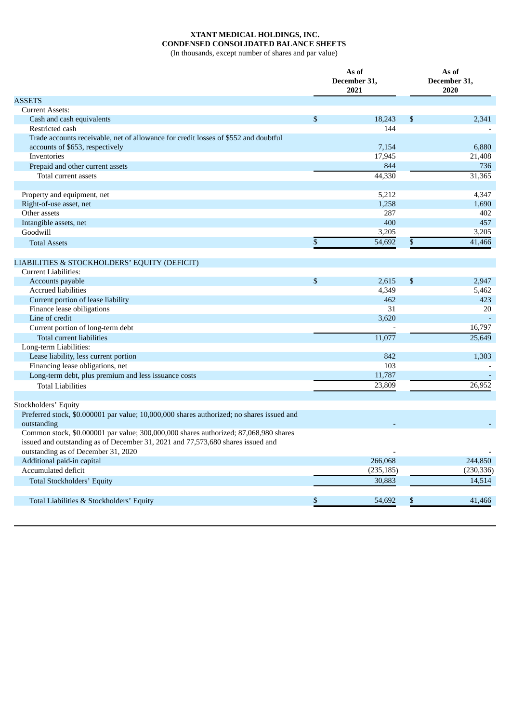## **XTANT MEDICAL HOLDINGS, INC. CONDENSED CONSOLIDATED BALANCE SHEETS**

(In thousands, except number of shares and par value)

|                                                                                                                                                                                                                | As of<br>December 31,<br>2021 | As of<br>December 31,<br>2020 |            |  |  |
|----------------------------------------------------------------------------------------------------------------------------------------------------------------------------------------------------------------|-------------------------------|-------------------------------|------------|--|--|
| <b>ASSETS</b>                                                                                                                                                                                                  |                               |                               |            |  |  |
| <b>Current Assets:</b>                                                                                                                                                                                         |                               |                               |            |  |  |
| Cash and cash equivalents                                                                                                                                                                                      | \$<br>18,243                  | $\$$                          | 2,341      |  |  |
| Restricted cash                                                                                                                                                                                                | 144                           |                               |            |  |  |
| Trade accounts receivable, net of allowance for credit losses of \$552 and doubtful                                                                                                                            |                               |                               |            |  |  |
| accounts of \$653, respectively                                                                                                                                                                                | 7,154                         |                               | 6.880      |  |  |
| Inventories                                                                                                                                                                                                    | 17,945                        |                               | 21,408     |  |  |
| Prepaid and other current assets                                                                                                                                                                               | 844                           |                               | 736        |  |  |
| Total current assets                                                                                                                                                                                           | 44,330                        |                               | 31,365     |  |  |
| Property and equipment, net                                                                                                                                                                                    | 5,212                         |                               | 4,347      |  |  |
| Right-of-use asset, net                                                                                                                                                                                        | 1,258                         |                               | 1,690      |  |  |
| Other assets                                                                                                                                                                                                   | 287                           |                               | 402        |  |  |
| Intangible assets, net                                                                                                                                                                                         | 400                           |                               | 457        |  |  |
| Goodwill                                                                                                                                                                                                       | 3,205                         |                               | 3,205      |  |  |
| <b>Total Assets</b>                                                                                                                                                                                            | \$<br>54.692                  | \$                            | 41,466     |  |  |
| LIABILITIES & STOCKHOLDERS' EQUITY (DEFICIT)<br><b>Current Liabilities:</b>                                                                                                                                    |                               |                               |            |  |  |
| Accounts payable                                                                                                                                                                                               | \$<br>2,615                   | \$                            | 2,947      |  |  |
| <b>Accrued liabilities</b>                                                                                                                                                                                     | 4,349                         |                               | 5,462      |  |  |
| Current portion of lease liability                                                                                                                                                                             | 462                           |                               | 423        |  |  |
| Finance lease obiligations                                                                                                                                                                                     | 31                            |                               | 20         |  |  |
| Line of credit                                                                                                                                                                                                 | 3,620                         |                               |            |  |  |
| Current portion of long-term debt                                                                                                                                                                              |                               |                               | 16,797     |  |  |
| <b>Total current liabilities</b>                                                                                                                                                                               | 11,077                        |                               | 25,649     |  |  |
| Long-term Liabilities:                                                                                                                                                                                         |                               |                               |            |  |  |
| Lease liability, less current portion                                                                                                                                                                          | 842                           |                               | 1,303      |  |  |
| Financing lease obligations, net                                                                                                                                                                               | 103                           |                               |            |  |  |
| Long-term debt, plus premium and less issuance costs                                                                                                                                                           | 11,787                        |                               |            |  |  |
| <b>Total Liabilities</b>                                                                                                                                                                                       | 23,809                        |                               | 26,952     |  |  |
| Stockholders' Equity                                                                                                                                                                                           |                               |                               |            |  |  |
| Preferred stock, \$0.000001 par value; 10,000,000 shares authorized; no shares issued and<br>outstanding                                                                                                       |                               |                               |            |  |  |
| Common stock, \$0.000001 par value; 300,000,000 shares authorized; 87,068,980 shares<br>issued and outstanding as of December 31, 2021 and 77,573,680 shares issued and<br>outstanding as of December 31, 2020 |                               |                               |            |  |  |
| Additional paid-in capital                                                                                                                                                                                     | 266,068                       |                               | 244,850    |  |  |
| Accumulated deficit                                                                                                                                                                                            | (235, 185)                    |                               | (230, 336) |  |  |
| <b>Total Stockholders' Equity</b>                                                                                                                                                                              | 30,883                        |                               | 14,514     |  |  |
| Total Liabilities & Stockholders' Equity                                                                                                                                                                       | \$<br>54,692                  | \$                            | 41,466     |  |  |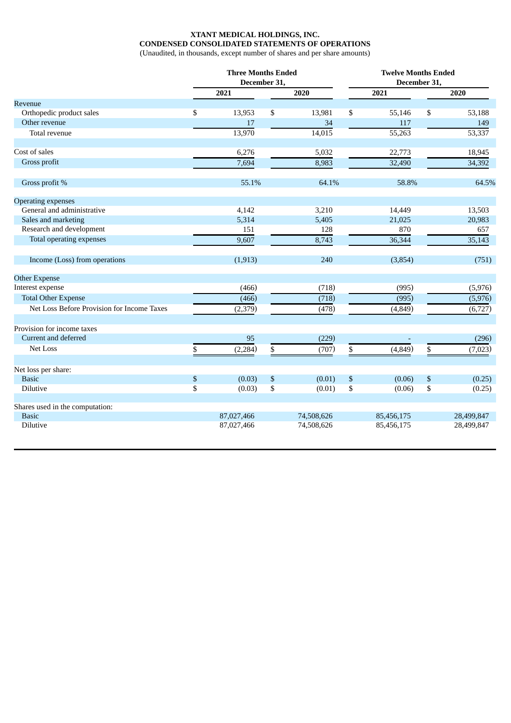## **XTANT MEDICAL HOLDINGS, INC. CONDENSED CONSOLIDATED STATEMENTS OF OPERATIONS**

(Unaudited, in thousands, except number of shares and per share amounts)

|                                            | <b>Three Months Ended</b><br>December 31, |            |                                                                       | <b>Twelve Months Ended</b><br>December 31, |              |            |    |            |
|--------------------------------------------|-------------------------------------------|------------|-----------------------------------------------------------------------|--------------------------------------------|--------------|------------|----|------------|
|                                            |                                           | 2021       |                                                                       | 2020                                       |              | 2021       |    | 2020       |
| Revenue                                    |                                           |            |                                                                       |                                            |              |            |    |            |
| Orthopedic product sales                   | \$                                        | 13,953     | \$                                                                    | 13,981                                     | \$           | 55,146     | \$ | 53,188     |
| Other revenue                              |                                           | 17         |                                                                       | 34                                         |              | 117        |    | 149        |
| <b>Total revenue</b>                       |                                           | 13,970     |                                                                       | 14,015                                     |              | 55,263     |    | 53,337     |
| Cost of sales                              |                                           | 6,276      |                                                                       | 5,032                                      |              | 22,773     |    | 18,945     |
| Gross profit                               |                                           | 7,694      |                                                                       | 8,983                                      |              | 32,490     |    | 34,392     |
| Gross profit %                             |                                           | 55.1%      |                                                                       | 64.1%                                      |              | 58.8%      |    | 64.5%      |
| <b>Operating expenses</b>                  |                                           |            |                                                                       |                                            |              |            |    |            |
| General and administrative                 |                                           | 4,142      |                                                                       | 3,210                                      |              | 14,449     |    | 13,503     |
| Sales and marketing                        |                                           | 5,314      |                                                                       | 5,405                                      |              | 21,025     |    | 20,983     |
| Research and development                   |                                           | 151        |                                                                       | 128                                        |              | 870        |    | 657        |
| Total operating expenses                   |                                           | 9,607      |                                                                       | 8,743                                      |              | 36,344     |    | 35,143     |
| Income (Loss) from operations              |                                           | (1, 913)   |                                                                       | 240                                        |              | (3,854)    |    | (751)      |
| <b>Other Expense</b>                       |                                           |            |                                                                       |                                            |              |            |    |            |
| Interest expense                           |                                           | (466)      |                                                                       | (718)                                      |              | (995)      |    | (5,976)    |
| <b>Total Other Expense</b>                 |                                           | (466)      |                                                                       | (718)                                      |              | (995)      |    | (5, 976)   |
| Net Loss Before Provision for Income Taxes |                                           | (2, 379)   |                                                                       | (478)                                      |              | (4, 849)   |    | (6, 727)   |
| Provision for income taxes                 |                                           |            |                                                                       |                                            |              |            |    |            |
| Current and deferred                       |                                           | 95         |                                                                       | (229)                                      |              |            |    | (296)      |
| Net Loss                                   | \$                                        | (2, 284)   | \$                                                                    | (707)                                      | \$           | (4, 849)   | \$ | (7,023)    |
| Net loss per share:                        |                                           |            |                                                                       |                                            |              |            |    |            |
| <b>Basic</b>                               | \$                                        | (0.03)     | $\mathbb{S}% _{t}\left( t\right) \equiv\mathbb{S}_{t}\left( t\right)$ | (0.01)                                     | $\mathbb{S}$ | (0.06)     | \$ | (0.25)     |
| <b>Dilutive</b>                            | $\overline{\$}$                           | (0.03)     | $\overline{\mathcal{S}}$                                              | (0.01)                                     | \$           | (0.06)     | \$ | (0.25)     |
| Shares used in the computation:            |                                           |            |                                                                       |                                            |              |            |    |            |
| <b>Basic</b>                               |                                           | 87,027,466 |                                                                       | 74,508,626                                 |              | 85,456,175 |    | 28,499,847 |
| <b>Dilutive</b>                            |                                           | 87,027,466 |                                                                       | 74,508,626                                 |              | 85,456,175 |    | 28,499,847 |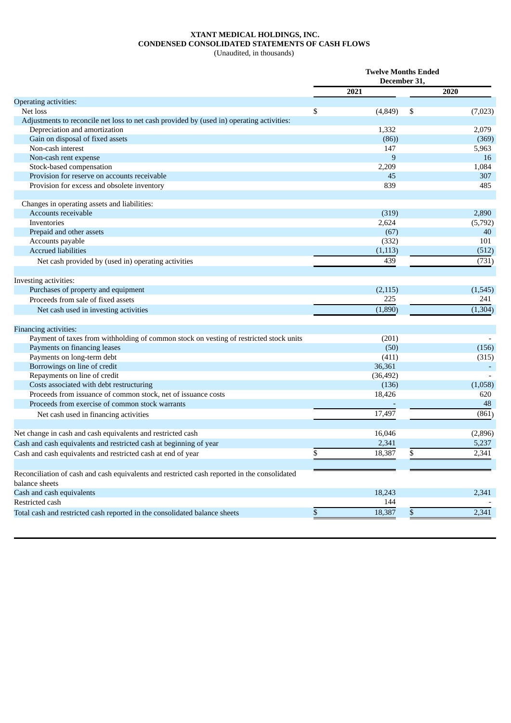#### **XTANT MEDICAL HOLDINGS, INC. CONDENSED CONSOLIDATED STATEMENTS OF CASH FLOWS** (Unaudited, in thousands)

**Twelve Months Ended December 31, 2021 2020** Operating activities: Net loss  $(4,849)$   $\frac{1}{3}$   $(7,023)$ Adjustments to reconcile net loss to net cash provided by (used in) operating activities: Depreciation and amortization 2,079 Gain on disposal of fixed assets (369) (369) (369) (369) (369) (369) (369) (369) (369) (369) (369) (369) (369) (369) (369) (369) (369) (369) (369) (369) (369) (369) (369) (369) (369) (369) (369) (369) (369) (369) (369) (36 Non-cash interest 5,963 Non-cash rent expense 16 Stock-based compensation 2,209 1,084 Provision for reserve on accounts receivable 1999 and 1999 and 1999 and 1999 and 1999 and 1999 and 1999 and 199 Provision for excess and obsolete inventory and  $\frac{485}{2}$  and  $\frac{485}{2}$  and  $\frac{485}{2}$ Changes in operating assets and liabilities: Accounts receivable (319) 2,890 Inventories  $2,624$  (5,792) Prepaid and other assets **40** and other assets **40** and other assets **40** and other assets **40** and other assets **40** and other assets **40** and other assets **40** and other assets **40** and other assets **40** and other assets Accounts payable 101 Accrued liabilities (512) (512) (512) (512) (512) (512) (512) (512) (512) (512) (512) (512) (512) (512) (512) Net cash provided by (used in) operating activities 439 (731) Investing activities: Purchases of property and equipment (2,115) (1,545) Proceeds from sale of fixed assets 241 Net cash used in investing activities (1,304) (1,304) Financing activities: Payment of taxes from withholding of common stock on vesting of restricted stock units (201) Payments on financing leases (50) (156) Payments on long-term debt (315) (315) Borrowings on line of credit and the state of the state of the state of the state  $36,361$  -Repayments on line of credit (36,492) Costs associated with debt restructuring (136) (1,058) Proceeds from issuance of common stock, net of issuance costs 18,426 620 Proceeds from exercise of common stock warrants 48 Net cash used in financing activities and the set of the set of the set of the set of the set of the set of the set of the set of the set of the set of the set of the set of the set of the set of the set of the set of the Net change in cash and cash equivalents and restricted cash 16,046 16,046 (2,896) Cash and cash equivalents and restricted cash at beginning of year 2,341 5,237 Cash and cash equivalents and restricted cash at end of year **\$** 18,387 \$ 2,341 Reconciliation of cash and cash equivalents and restricted cash reported in the consolidated balance sheets Cash and cash equivalents 18,243 2,341 Restricted cash 144 - Total cash and restricted cash reported in the consolidated balance sheets **18,387** \$ 18,387 \$ 2,341